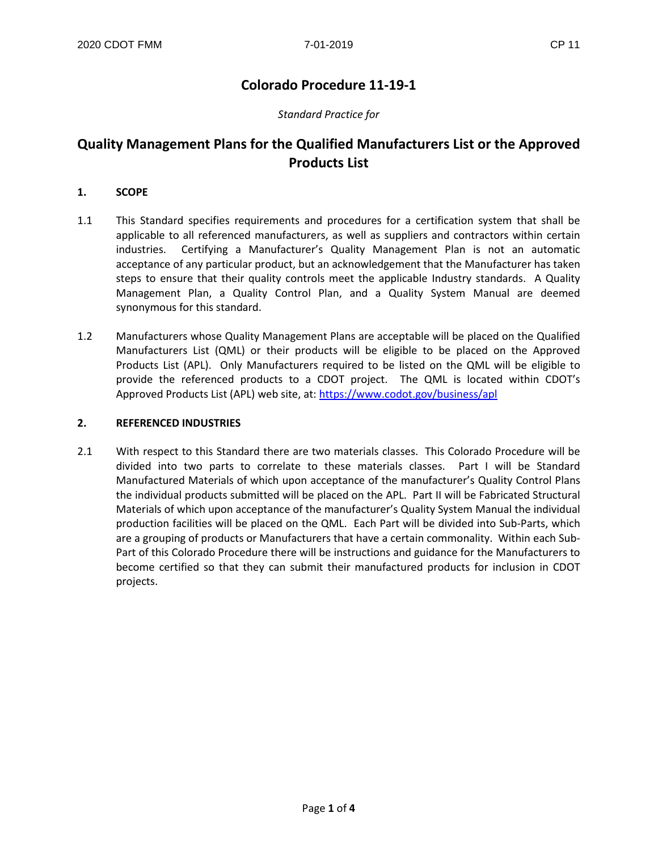# **Colorado Procedure 11-19-1**

## *Standard Practice for*

# **Quality Management Plans for the Qualified Manufacturers List or the Approved Products List**

### **1. SCOPE**

- 1.1 This Standard specifies requirements and procedures for a certification system that shall be applicable to all referenced manufacturers, as well as suppliers and contractors within certain industries. Certifying a Manufacturer's Quality Management Plan is not an automatic acceptance of any particular product, but an acknowledgement that the Manufacturer has taken steps to ensure that their quality controls meet the applicable Industry standards. A Quality Management Plan, a Quality Control Plan, and a Quality System Manual are deemed synonymous for this standard.
- 1.2 Manufacturers whose Quality Management Plans are acceptable will be placed on the Qualified Manufacturers List (QML) or their products will be eligible to be placed on the Approved Products List (APL). Only Manufacturers required to be listed on the QML will be eligible to provide the referenced products to a CDOT project. The QML is located within CDOT's Approved Products List (APL) web site, at: <https://www.codot.gov/business/apl>

#### **2. REFERENCED INDUSTRIES**

2.1 With respect to this Standard there are two materials classes. This Colorado Procedure will be divided into two parts to correlate to these materials classes. Part I will be Standard Manufactured Materials of which upon acceptance of the manufacturer's Quality Control Plans the individual products submitted will be placed on the APL. Part II will be Fabricated Structural Materials of which upon acceptance of the manufacturer's Quality System Manual the individual production facilities will be placed on the QML. Each Part will be divided into Sub-Parts, which are a grouping of products or Manufacturers that have a certain commonality. Within each Sub-Part of this Colorado Procedure there will be instructions and guidance for the Manufacturers to become certified so that they can submit their manufactured products for inclusion in CDOT projects.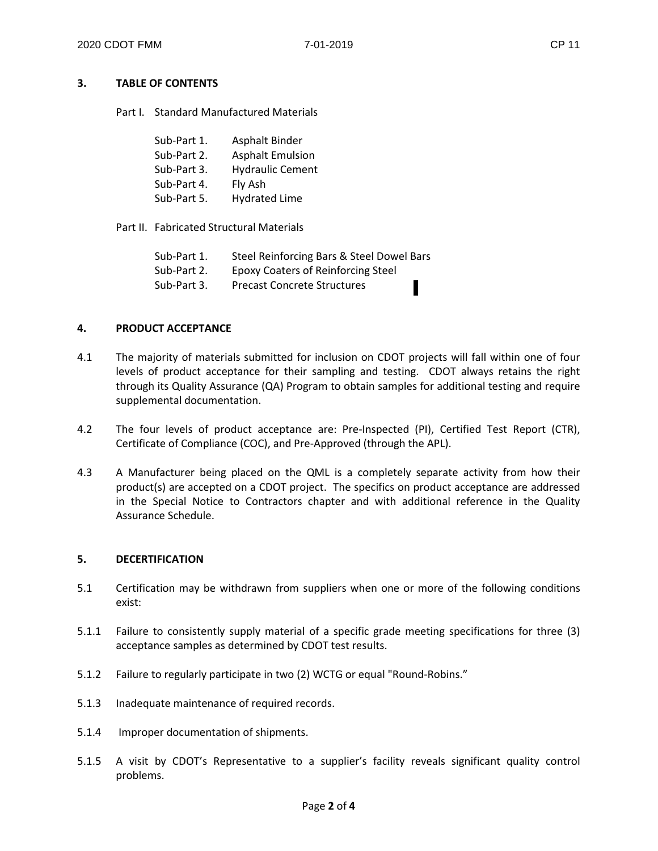## **3. TABLE OF CONTENTS**

Part I. Standard Manufactured Materials

| Sub-Part 1. | Asphalt Binder          |
|-------------|-------------------------|
| Sub-Part 2. | <b>Asphalt Emulsion</b> |
| Sub-Part 3. | <b>Hydraulic Cement</b> |
| Sub-Part 4. | Fly Ash                 |
| Sub-Part 5. | <b>Hydrated Lime</b>    |

Part II. Fabricated Structural Materials

| Sub-Part 1. | Steel Reinforcing Bars & Steel Dowel Bars |  |
|-------------|-------------------------------------------|--|
| Sub-Part 2. | <b>Epoxy Coaters of Reinforcing Steel</b> |  |
| Sub-Part 3. | <b>Precast Concrete Structures</b>        |  |

#### **4. PRODUCT ACCEPTANCE**

- 4.1 The majority of materials submitted for inclusion on CDOT projects will fall within one of four levels of product acceptance for their sampling and testing. CDOT always retains the right through its Quality Assurance (QA) Program to obtain samples for additional testing and require supplemental documentation.
- 4.2 The four levels of product acceptance are: Pre-Inspected (PI), Certified Test Report (CTR), Certificate of Compliance (COC), and Pre-Approved (through the APL).
- 4.3 A Manufacturer being placed on the QML is a completely separate activity from how their product(s) are accepted on a CDOT project. The specifics on product acceptance are addressed in the Special Notice to Contractors chapter and with additional reference in the Quality Assurance Schedule.

#### **5. DECERTIFICATION**

- 5.1 Certification may be withdrawn from suppliers when one or more of the following conditions exist:
- 5.1.1 Failure to consistently supply material of a specific grade meeting specifications for three (3) acceptance samples as determined by CDOT test results.
- 5.1.2 Failure to regularly participate in two (2) WCTG or equal "Round-Robins."
- 5.1.3 Inadequate maintenance of required records.
- 5.1.4 Improper documentation of shipments.
- 5.1.5 A visit by CDOT's Representative to a supplier's facility reveals significant quality control problems.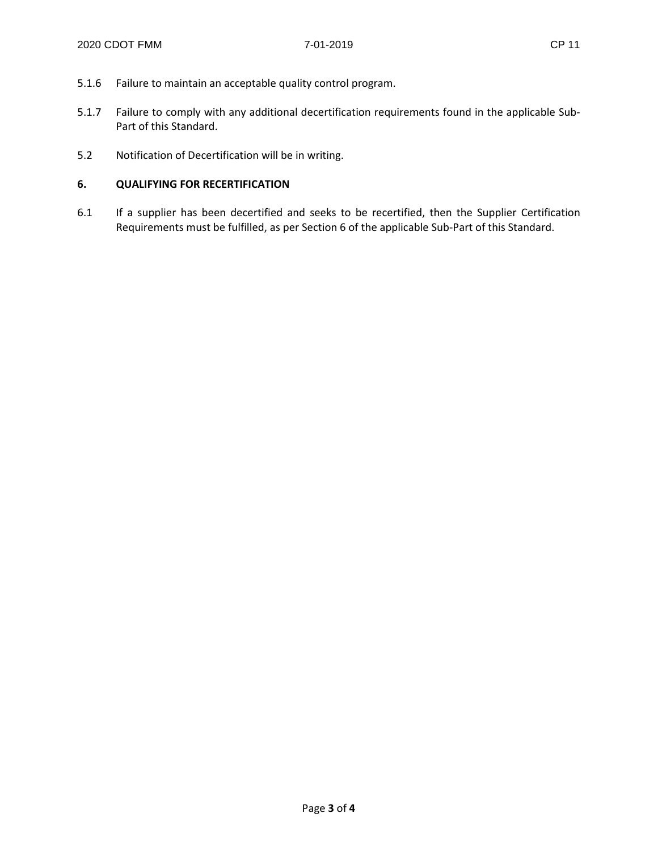- 5.1.6 Failure to maintain an acceptable quality control program.
- 5.1.7 Failure to comply with any additional decertification requirements found in the applicable Sub-Part of this Standard.
- 5.2 Notification of Decertification will be in writing.

# **6. QUALIFYING FOR RECERTIFICATION**

6.1 If a supplier has been decertified and seeks to be recertified, then the Supplier Certification Requirements must be fulfilled, as per Section 6 of the applicable Sub-Part of this Standard.